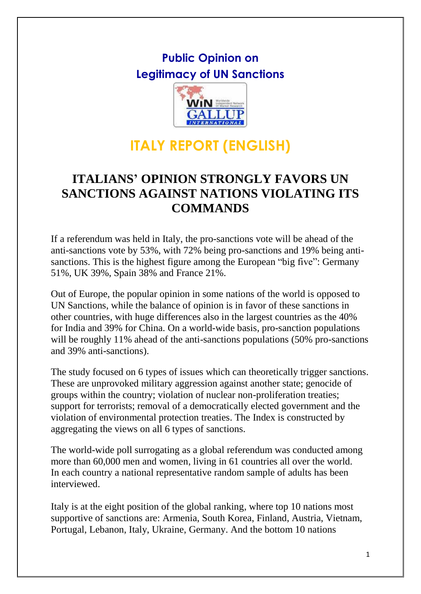## **Public Opinion on Legitimacy of UN Sanctions**



## **ITALY REPORT (ENGLISH)**

### **ITALIANS' OPINION STRONGLY FAVORS UN SANCTIONS AGAINST NATIONS VIOLATING ITS COMMANDS**

If a referendum was held in Italy, the pro-sanctions vote will be ahead of the anti-sanctions vote by 53%, with 72% being pro-sanctions and 19% being antisanctions. This is the highest figure among the European "big five": Germany 51%, UK 39%, Spain 38% and France 21%.

Out of Europe, the popular opinion in some nations of the world is opposed to UN Sanctions, while the balance of opinion is in favor of these sanctions in other countries, with huge differences also in the largest countries as the 40% for India and 39% for China. On a world-wide basis, pro-sanction populations will be roughly 11% ahead of the anti-sanctions populations (50% pro-sanctions and 39% anti-sanctions).

The study focused on 6 types of issues which can theoretically trigger sanctions. These are unprovoked military aggression against another state; genocide of groups within the country; violation of nuclear non-proliferation treaties; support for terrorists; removal of a democratically elected government and the violation of environmental protection treaties. The Index is constructed by aggregating the views on all 6 types of sanctions.

The world-wide poll surrogating as a global referendum was conducted among more than 60,000 men and women, living in 61 countries all over the world. In each country a national representative random sample of adults has been interviewed.

Italy is at the eight position of the global ranking, where top 10 nations most supportive of sanctions are: Armenia, South Korea, Finland, Austria, Vietnam, Portugal, Lebanon, Italy, Ukraine, Germany. And the bottom 10 nations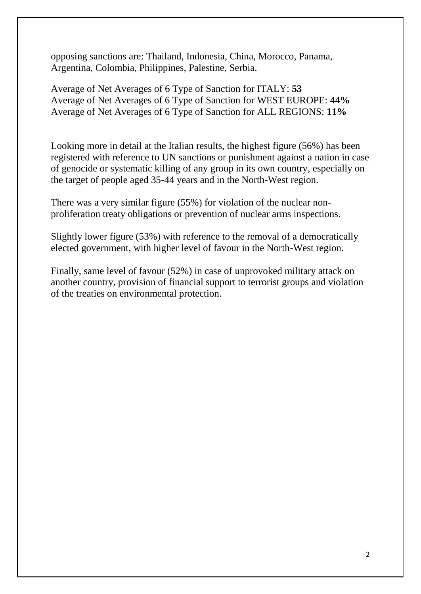opposing sanctions are: Thailand, Indonesia, China, Morocco, Panama, Argentina, Colombia, Philippines, Palestine, Serbia.

Average of Net Averages of 6 Type of Sanction for ITALY: **53** Average of Net Averages of 6 Type of Sanction for WEST EUROPE: **44%** Average of Net Averages of 6 Type of Sanction for ALL REGIONS: **11%**

Looking more in detail at the Italian results, the highest figure (56%) has been registered with reference to UN sanctions or punishment against a nation in case of genocide or systematic killing of any group in its own country, especially on the target of people aged 35-44 years and in the North-West region.

There was a very similar figure (55%) for violation of the nuclear nonproliferation treaty obligations or prevention of nuclear arms inspections.

Slightly lower figure (53%) with reference to the removal of a democratically elected government, with higher level of favour in the North-West region.

Finally, same level of favour (52%) in case of unprovoked military attack on another country, provision of financial support to terrorist groups and violation of the treaties on environmental protection.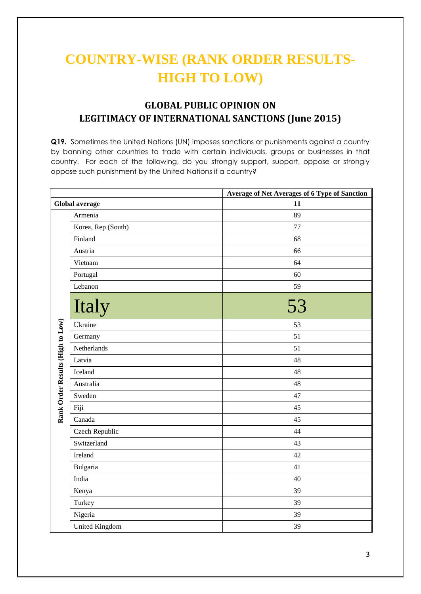# **COUNTRY-WISE (RANK ORDER RESULTS-HIGH TO LOW)**

### **GLOBAL PUBLIC OPINION ON LEGITIMACY OF INTERNATIONAL SANCTIONS (June 2015)**

**Q19.** Sometimes the United Nations (UN) imposes sanctions or punishments against a country by banning other countries to trade with certain individuals, groups or businesses in that country. For each of the following, do you strongly support, support, oppose or strongly oppose such punishment by the United Nations if a country?

|                                  |                       | <b>Average of Net Averages of 6 Type of Sanction</b> |  |  |  |  |  |
|----------------------------------|-----------------------|------------------------------------------------------|--|--|--|--|--|
| <b>Global average</b>            |                       | 11                                                   |  |  |  |  |  |
|                                  | Armenia               | 89                                                   |  |  |  |  |  |
|                                  | Korea, Rep (South)    | 77                                                   |  |  |  |  |  |
|                                  | Finland               | 68                                                   |  |  |  |  |  |
|                                  | Austria               | 66                                                   |  |  |  |  |  |
|                                  | Vietnam               | 64                                                   |  |  |  |  |  |
|                                  | Portugal              | 60                                                   |  |  |  |  |  |
|                                  | Lebanon               | 59                                                   |  |  |  |  |  |
|                                  | Italy                 | 53                                                   |  |  |  |  |  |
|                                  | Ukraine               | 53                                                   |  |  |  |  |  |
|                                  | Germany               | 51                                                   |  |  |  |  |  |
| Rank Order Results (High to Low) | Netherlands           | 51                                                   |  |  |  |  |  |
|                                  | Latvia                | 48                                                   |  |  |  |  |  |
|                                  | Iceland               | 48                                                   |  |  |  |  |  |
|                                  | Australia             | 48                                                   |  |  |  |  |  |
|                                  | Sweden                | 47                                                   |  |  |  |  |  |
|                                  | Fiji                  | 45                                                   |  |  |  |  |  |
|                                  | Canada                | 45                                                   |  |  |  |  |  |
|                                  | Czech Republic        | 44                                                   |  |  |  |  |  |
|                                  | Switzerland           | 43                                                   |  |  |  |  |  |
|                                  | Ireland               | 42                                                   |  |  |  |  |  |
|                                  | Bulgaria              | 41                                                   |  |  |  |  |  |
|                                  | India                 | 40                                                   |  |  |  |  |  |
|                                  | Kenya                 | 39                                                   |  |  |  |  |  |
|                                  | Turkey                | 39                                                   |  |  |  |  |  |
|                                  | Nigeria               | 39                                                   |  |  |  |  |  |
|                                  | <b>United Kingdom</b> | 39                                                   |  |  |  |  |  |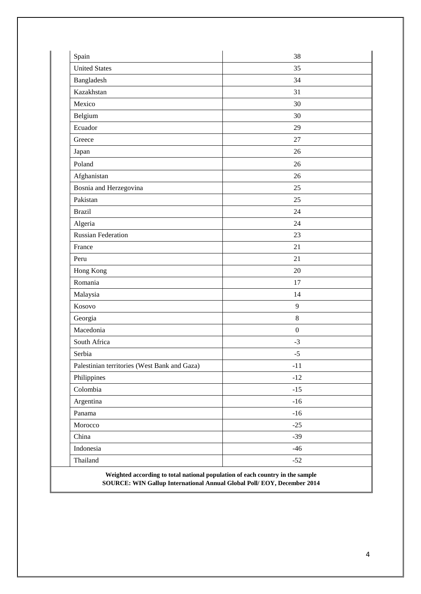| <b>United States</b><br>35<br>Bangladesh<br>34<br>Kazakhstan<br>31<br>Mexico<br>30<br>Belgium<br>30<br>Ecuador<br>29<br>Greece<br>27<br>Japan<br>26<br>Poland<br>26<br>Afghanistan<br>26<br>Bosnia and Herzegovina<br>25<br>Pakistan<br>25<br><b>Brazil</b><br>24<br>Algeria<br>24<br><b>Russian Federation</b><br>23<br>France<br>21<br>21<br>Peru<br>Hong Kong<br>20<br>Romania<br>17<br>Malaysia<br>14<br>Kosovo<br>$\overline{9}$<br>Georgia<br>$8\,$<br>Macedonia<br>$\boldsymbol{0}$<br>South Africa<br>$-3$<br>Serbia<br>$-5$<br>Palestinian territories (West Bank and Gaza)<br>$-11$<br>Philippines<br>$-12$<br>Colombia<br>$-15$<br>Argentina<br>$-16$<br>Panama<br>$-16$<br>Morocco<br>$-25$<br>China<br>$-39$<br>Indonesia<br>$-46$<br>Thailand<br>$-52$ | Spain | 38 |
|----------------------------------------------------------------------------------------------------------------------------------------------------------------------------------------------------------------------------------------------------------------------------------------------------------------------------------------------------------------------------------------------------------------------------------------------------------------------------------------------------------------------------------------------------------------------------------------------------------------------------------------------------------------------------------------------------------------------------------------------------------------------|-------|----|
|                                                                                                                                                                                                                                                                                                                                                                                                                                                                                                                                                                                                                                                                                                                                                                      |       |    |
|                                                                                                                                                                                                                                                                                                                                                                                                                                                                                                                                                                                                                                                                                                                                                                      |       |    |
|                                                                                                                                                                                                                                                                                                                                                                                                                                                                                                                                                                                                                                                                                                                                                                      |       |    |
|                                                                                                                                                                                                                                                                                                                                                                                                                                                                                                                                                                                                                                                                                                                                                                      |       |    |
|                                                                                                                                                                                                                                                                                                                                                                                                                                                                                                                                                                                                                                                                                                                                                                      |       |    |
|                                                                                                                                                                                                                                                                                                                                                                                                                                                                                                                                                                                                                                                                                                                                                                      |       |    |
|                                                                                                                                                                                                                                                                                                                                                                                                                                                                                                                                                                                                                                                                                                                                                                      |       |    |
|                                                                                                                                                                                                                                                                                                                                                                                                                                                                                                                                                                                                                                                                                                                                                                      |       |    |
|                                                                                                                                                                                                                                                                                                                                                                                                                                                                                                                                                                                                                                                                                                                                                                      |       |    |
|                                                                                                                                                                                                                                                                                                                                                                                                                                                                                                                                                                                                                                                                                                                                                                      |       |    |
|                                                                                                                                                                                                                                                                                                                                                                                                                                                                                                                                                                                                                                                                                                                                                                      |       |    |
|                                                                                                                                                                                                                                                                                                                                                                                                                                                                                                                                                                                                                                                                                                                                                                      |       |    |
|                                                                                                                                                                                                                                                                                                                                                                                                                                                                                                                                                                                                                                                                                                                                                                      |       |    |
|                                                                                                                                                                                                                                                                                                                                                                                                                                                                                                                                                                                                                                                                                                                                                                      |       |    |
|                                                                                                                                                                                                                                                                                                                                                                                                                                                                                                                                                                                                                                                                                                                                                                      |       |    |
|                                                                                                                                                                                                                                                                                                                                                                                                                                                                                                                                                                                                                                                                                                                                                                      |       |    |
|                                                                                                                                                                                                                                                                                                                                                                                                                                                                                                                                                                                                                                                                                                                                                                      |       |    |
|                                                                                                                                                                                                                                                                                                                                                                                                                                                                                                                                                                                                                                                                                                                                                                      |       |    |
|                                                                                                                                                                                                                                                                                                                                                                                                                                                                                                                                                                                                                                                                                                                                                                      |       |    |
|                                                                                                                                                                                                                                                                                                                                                                                                                                                                                                                                                                                                                                                                                                                                                                      |       |    |
|                                                                                                                                                                                                                                                                                                                                                                                                                                                                                                                                                                                                                                                                                                                                                                      |       |    |
|                                                                                                                                                                                                                                                                                                                                                                                                                                                                                                                                                                                                                                                                                                                                                                      |       |    |
|                                                                                                                                                                                                                                                                                                                                                                                                                                                                                                                                                                                                                                                                                                                                                                      |       |    |
|                                                                                                                                                                                                                                                                                                                                                                                                                                                                                                                                                                                                                                                                                                                                                                      |       |    |
|                                                                                                                                                                                                                                                                                                                                                                                                                                                                                                                                                                                                                                                                                                                                                                      |       |    |
|                                                                                                                                                                                                                                                                                                                                                                                                                                                                                                                                                                                                                                                                                                                                                                      |       |    |
|                                                                                                                                                                                                                                                                                                                                                                                                                                                                                                                                                                                                                                                                                                                                                                      |       |    |
|                                                                                                                                                                                                                                                                                                                                                                                                                                                                                                                                                                                                                                                                                                                                                                      |       |    |
|                                                                                                                                                                                                                                                                                                                                                                                                                                                                                                                                                                                                                                                                                                                                                                      |       |    |
|                                                                                                                                                                                                                                                                                                                                                                                                                                                                                                                                                                                                                                                                                                                                                                      |       |    |
|                                                                                                                                                                                                                                                                                                                                                                                                                                                                                                                                                                                                                                                                                                                                                                      |       |    |
|                                                                                                                                                                                                                                                                                                                                                                                                                                                                                                                                                                                                                                                                                                                                                                      |       |    |
|                                                                                                                                                                                                                                                                                                                                                                                                                                                                                                                                                                                                                                                                                                                                                                      |       |    |
|                                                                                                                                                                                                                                                                                                                                                                                                                                                                                                                                                                                                                                                                                                                                                                      |       |    |

**Weighted according to total national population of each country in the sample SOURCE: WIN Gallup International Annual Global Poll/ EOY, December 2014**